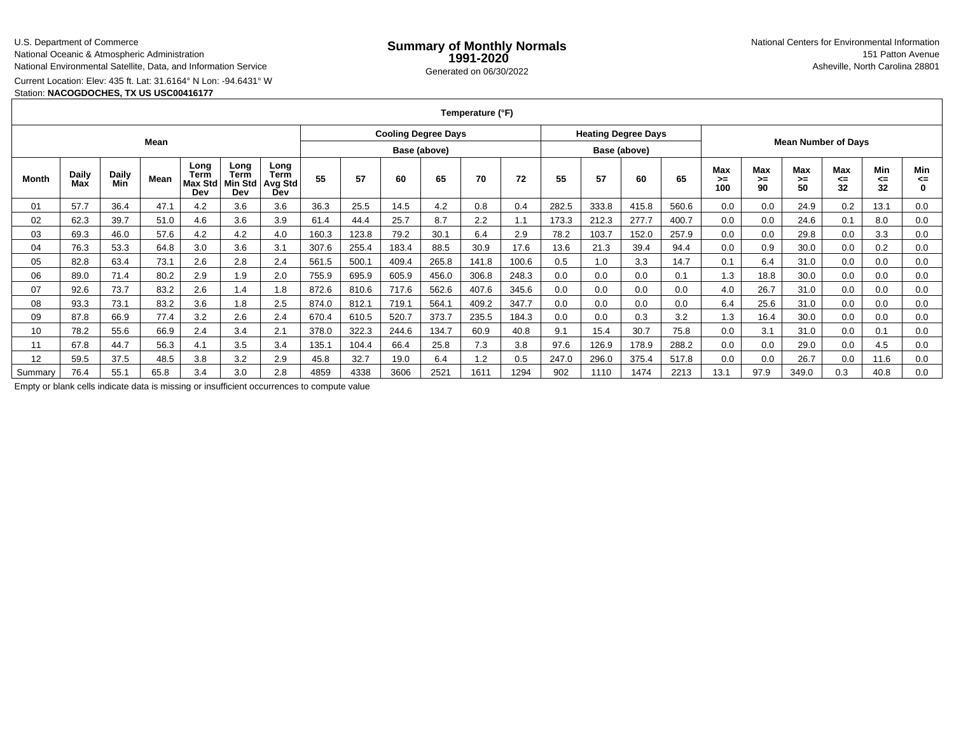U.S. Department of Commerce

National Oceanic & Atmospheric Administration

National Environmental Satellite, Data, and Information Service

Current Location: Elev: 435 ft. Lat: 31.6164° N Lon: -94.6431° W

Station: **NACOGDOCHES, TX US USC00416177**

**Temperature (°F)**

| Mean    |                     |              |      |                                |                                |                                              | <b>Cooling Degree Days</b> |       |       |       |       |              | <b>Heating Degree Days</b> |       |       |       | <b>Mean Number of Days</b> |                 |                        |                        |                 |                |
|---------|---------------------|--------------|------|--------------------------------|--------------------------------|----------------------------------------------|----------------------------|-------|-------|-------|-------|--------------|----------------------------|-------|-------|-------|----------------------------|-----------------|------------------------|------------------------|-----------------|----------------|
|         |                     |              |      |                                |                                |                                              | Base (above)               |       |       |       |       | Base (above) |                            |       |       |       |                            |                 |                        |                        |                 |                |
| Month   | <b>Daily</b><br>Max | Daily<br>Min | Mean | Long<br>Term<br>Max Std<br>Dev | Long<br>Term<br>Min Std<br>Dev | Long<br><b>Term</b><br><b>Avg Std</b><br>Dev | 55                         | 57    | 60    | 65    | 70    | 72           | 55                         | 57    | 60    | 65    | Max<br>>≕<br>100           | Max<br>>≕<br>90 | <b>Max</b><br>>≕<br>50 | <b>Max</b><br><=<br>32 | Min<br><=<br>32 | Min<br><=<br>0 |
| 01      | 57.7                | 36.4         | 47.1 | 4.2                            | 3.6                            | 3.6                                          | 36.3                       | 25.5  | 14.5  | 4.2   | 0.8   | 0.4          | 282.5                      | 333.8 | 415.8 | 560.6 | 0.0                        | 0.0             | 24.9                   | 0.2                    | 13.1            | 0.0            |
| 02      | 62.3                | 39.7         | 51.0 | 4.6                            | 3.6                            | 3.9                                          | 61.4                       | 44.4  | 25.7  | 8.7   | 2.2   | ۱.1          | 173.3                      | 212.3 | 277.7 | 400.7 | 0.0                        | 0.0             | 24.6                   | 0.1                    | 8.0             | 0.0            |
| 03      | 69.3                | 46.0         | 57.6 | 4.2                            | 4.2                            | 4.0                                          | 160.3                      | 123.8 | 79.2  | 30.1  | 6.4   | 2.9          | 78.2                       | 103.7 | 152.0 | 257.9 | 0.0                        | 0.0             | 29.8                   | 0.0                    | 3.3             | 0.0            |
| 04      | 76.3                | 53.3         | 64.8 | 3.0                            | 3.6                            | 3.1                                          | 307.6                      | 255.4 | 183.4 | 88.5  | 30.9  | 17.6         | 13.6                       | 21.3  | 39.4  | 94.4  | 0.0                        | 0.9             | 30.0                   | 0.0                    | 0.2             | 0.0            |
| 05      | 82.8                | 63.4         | 73.1 | 2.6                            | 2.8                            | 2.4                                          | 561.5                      | 500.1 | 409.4 | 265.8 | 141.8 | 100.6        | 0.5                        | 1.0   | 3.3   | 14.7  | 0.1                        | 6.4             | 31.0                   | 0.0                    | 0.0             | 0.0            |
| 06      | 89.0                | 71.4         | 80.2 | 2.9                            | 1.9                            | 2.0                                          | 755.9                      | 695.9 | 605.9 | 456.0 | 306.8 | 248.3        | 0.0                        | 0.0   | 0.0   | 0.1   | 1.3                        | 18.8            | 30.0                   | 0.0                    | 0.0             | 0.0            |
| 07      | 92.6                | 73.7         | 83.2 | 2.6                            | 1.4                            | 1.8                                          | 872.6                      | 810.6 | 717.6 | 562.6 | 407.6 | 345.6        | 0.0                        | 0.0   | 0.0   | 0.0   | 4.0                        | 26.7            | 31.0                   | 0.0                    | 0.0             | 0.0            |
| 08      | 93.3                | 73.1         | 83.2 | 3.6                            | 1.8                            | 2.5                                          | 874.0                      | 812.1 | 719.1 | 564.1 | 409.2 | 347.7        | 0.0                        | 0.0   | 0.0   | 0.0   | 6.4                        | 25.6            | 31.0                   | 0.0                    | 0.0             | 0.0            |
| 09      | 87.8                | 66.9         | 77.4 | 3.2                            | 2.6                            | 2.4                                          | 670.4                      | 610.5 | 520.7 | 373.7 | 235.5 | 184.3        | 0.0                        | 0.0   | 0.3   | 3.2   | 1.3                        | 16.4            | 30.0                   | 0.0                    | 0.0             | 0.0            |
| 10      | 78.2                | 55.6         | 66.9 | 2.4                            | 3.4                            | 2.1                                          | 378.0                      | 322.3 | 244.6 | 134.7 | 60.9  | 40.8         | 9.1                        | 15.4  | 30.7  | 75.8  | 0.0                        | 3.1             | 31.0                   | 0.0                    | 0.1             | 0.0            |
| 11      | 67.8                | 44.7         | 56.3 | 4.1                            | 3.5                            | 3.4                                          | 135.1                      | 104.4 | 66.4  | 25.8  | 7.3   | 3.8          | 97.6                       | 126.9 | 178.9 | 288.2 | 0.0                        | 0.0             | 29.0                   | 0.0                    | 4.5             | 0.0            |
| 12      | 59.5                | 37.5         | 48.5 | 3.8                            | 3.2                            | 2.9                                          | 45.8                       | 32.7  | 19.0  | 6.4   | 1.2   | 0.5          | 247.0                      | 296.0 | 375.4 | 517.8 | 0.0                        | 0.0             | 26.7                   | 0.0                    | 11.6            | 0.0            |
| Summarv | 76.4                | 55.1         | 65.8 | 3.4                            | 3.0                            | 2.8                                          | 4859                       | 4338  | 3606  | 2521  | 1611  | 1294         | 902                        | 1110  | 1474  | 2213  | 13.1                       | 97.9            | 349.0                  | 0.3                    | 40.8            | 0.0            |

Empty or blank cells indicate data is missing or insufficient occurrences to compute value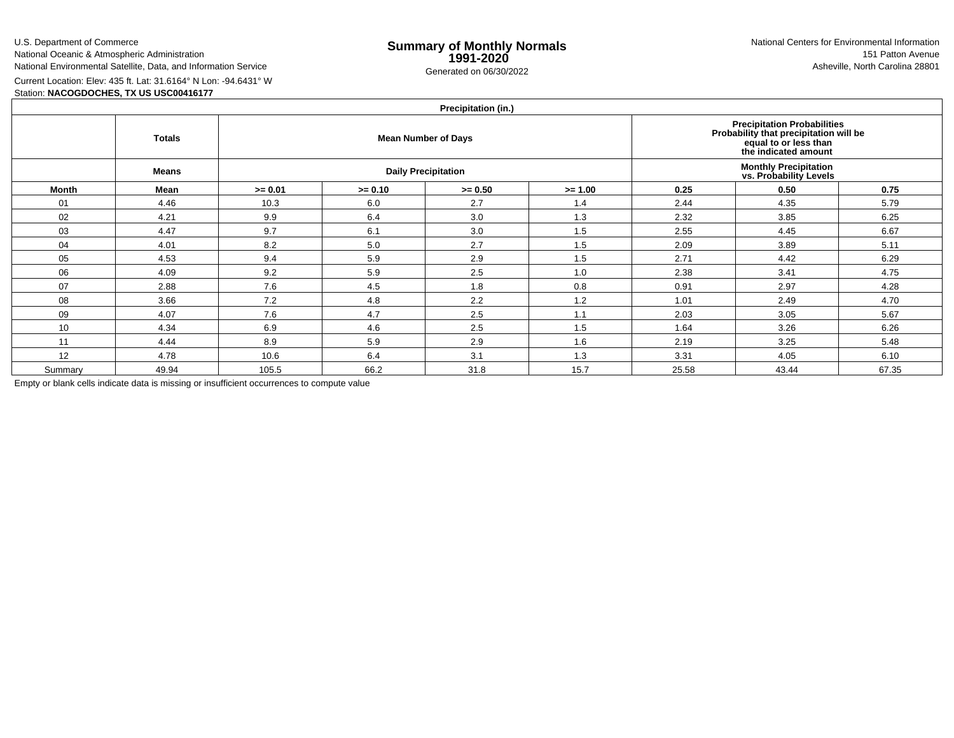U.S. Department of Commerce

National Oceanic & Atmospheric AdministrationNational Environmental Satellite, Data, and Information Service

e **Summary of Monthly Normals**<br> **1991-2020** 151 Patton Avenue **1991-2020** 1997-2020 e Generated on 06/30/2022 Asheville, North Carolina 28801 National Centers for Environmental Information151 Patton Avenue

Current Location: Elev: 435 ft. Lat: 31.6164° N Lon: -94.6431° W

Station: **NACOGDOCHES, TX US USC00416177**

## **Precipitation (in.)**

| $1.1$ Guphlation (m. $\prime$ |               |           |           |                            |                                                                                                                               |       |       |       |  |  |  |  |  |
|-------------------------------|---------------|-----------|-----------|----------------------------|-------------------------------------------------------------------------------------------------------------------------------|-------|-------|-------|--|--|--|--|--|
|                               | <b>Totals</b> |           |           | <b>Mean Number of Days</b> | <b>Precipitation Probabilities</b><br>Probability that precipitation will be<br>equal to or less than<br>the indicated amount |       |       |       |  |  |  |  |  |
|                               | Means         |           |           | <b>Daily Precipitation</b> | <b>Monthly Precipitation<br/>vs. Probability Levels</b>                                                                       |       |       |       |  |  |  |  |  |
| Month                         | Mean          | $>= 0.01$ | $>= 0.10$ | $>= 0.50$                  | $>= 1.00$                                                                                                                     | 0.25  | 0.50  | 0.75  |  |  |  |  |  |
| 01                            | 4.46          | 10.3      | 6.0       | 2.7                        | 1.4                                                                                                                           | 2.44  | 4.35  | 5.79  |  |  |  |  |  |
| 02                            | 4.21          | 9.9       | 6.4       | 3.0                        | 1.3                                                                                                                           | 2.32  | 3.85  | 6.25  |  |  |  |  |  |
| 03                            | 4.47          | 9.7       | 6.1       | 3.0                        | 1.5                                                                                                                           | 2.55  | 4.45  | 6.67  |  |  |  |  |  |
| 04                            | 4.01          | 8.2       | 5.0       | 2.7                        | 1.5                                                                                                                           | 2.09  | 3.89  | 5.11  |  |  |  |  |  |
| 05                            | 4.53          | 9.4       | 5.9       | 2.9                        | 1.5                                                                                                                           | 2.71  | 4.42  | 6.29  |  |  |  |  |  |
| 06                            | 4.09          | 9.2       | 5.9       | 2.5                        | 1.0                                                                                                                           | 2.38  | 3.41  | 4.75  |  |  |  |  |  |
| 07                            | 2.88          | 7.6       | 4.5       | 1.8                        | 0.8                                                                                                                           | 0.91  | 2.97  | 4.28  |  |  |  |  |  |
| 08                            | 3.66          | 7.2       | 4.8       | 2.2                        | 1.2                                                                                                                           | 1.01  | 2.49  | 4.70  |  |  |  |  |  |
| 09                            | 4.07          | 7.6       | 4.7       | 2.5                        | 1.1                                                                                                                           | 2.03  | 3.05  | 5.67  |  |  |  |  |  |
| 10                            | 4.34          | 6.9       | 4.6       | 2.5                        | 1.5                                                                                                                           | 1.64  | 3.26  | 6.26  |  |  |  |  |  |
| 11                            | 4.44          | 8.9       | 5.9       | 2.9                        | 1.6                                                                                                                           | 2.19  | 3.25  | 5.48  |  |  |  |  |  |
| 12                            | 4.78          | 10.6      | 6.4       | 3.1                        | 1.3                                                                                                                           | 3.31  | 4.05  | 6.10  |  |  |  |  |  |
| Summary                       | 49.94         | 105.5     | 66.2      | 31.8                       | 15.7                                                                                                                          | 25.58 | 43.44 | 67.35 |  |  |  |  |  |

Empty or blank cells indicate data is missing or insufficient occurrences to compute value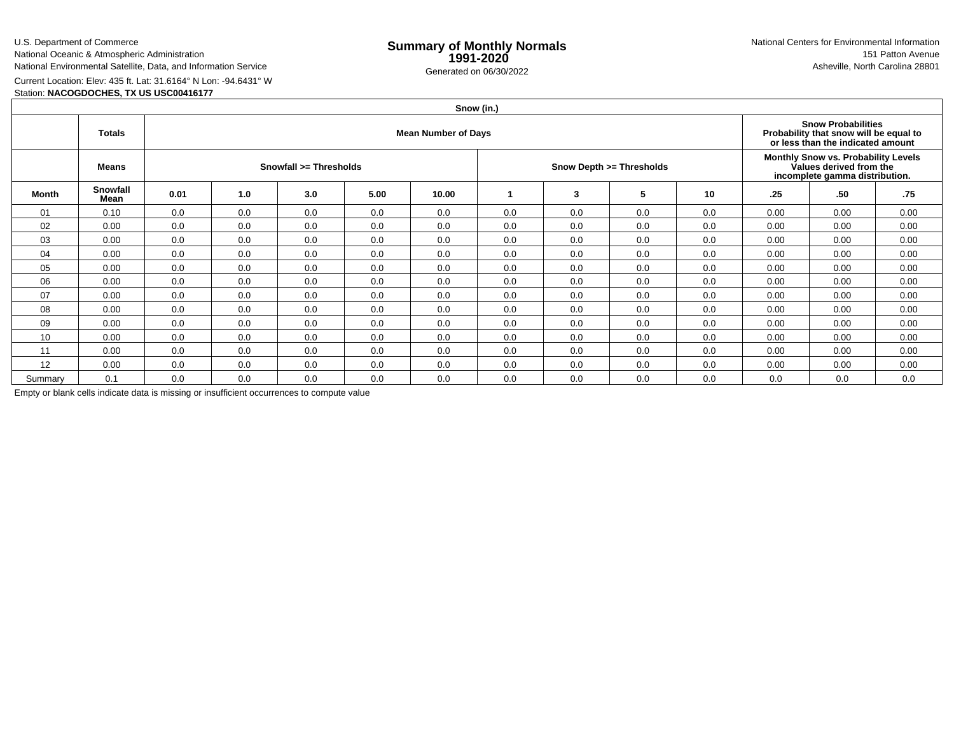U.S. Department of CommerceNational Oceanic & Atmospheric Administration

National Environmental Satellite, Data, and Information Service

e **Summary of Monthly Normals**<br> **1991-2020** 151 Patton Avenue **1991-2020** 1997-2020 e Generated on 06/30/2022 Asheville, North Carolina 28801 National Centers for Environmental Information151 Patton Avenue

Current Location: Elev: 435 ft. Lat: 31.6164° N Lon: -94.6431° WStation: **NACOGDOCHES, TX US USC00416177**

|              | Snow (in.)       |                            |                        |     |      |       |     |                          |     |                                                                                                  |      |                                                                                                          |      |  |  |
|--------------|------------------|----------------------------|------------------------|-----|------|-------|-----|--------------------------|-----|--------------------------------------------------------------------------------------------------|------|----------------------------------------------------------------------------------------------------------|------|--|--|
|              | <b>Totals</b>    | <b>Mean Number of Days</b> |                        |     |      |       |     |                          |     |                                                                                                  |      | <b>Snow Probabilities</b><br>Probability that snow will be equal to<br>or less than the indicated amount |      |  |  |
|              | <b>Means</b>     |                            | Snowfall >= Thresholds |     |      |       |     | Snow Depth >= Thresholds |     | Monthly Snow vs. Probability Levels<br>Values derived from the<br>incomplete gamma distribution. |      |                                                                                                          |      |  |  |
| <b>Month</b> | Snowfall<br>Mean | 0.01                       | 1.0                    | 3.0 | 5.00 | 10.00 |     | 3                        | 5   | 10                                                                                               | .25  | .50                                                                                                      | .75  |  |  |
| 01           | 0.10             | 0.0                        | 0.0                    | 0.0 | 0.0  | 0.0   | 0.0 | 0.0                      | 0.0 | 0.0                                                                                              | 0.00 | 0.00                                                                                                     | 0.00 |  |  |
| 02           | 0.00             | 0.0                        | 0.0                    | 0.0 | 0.0  | 0.0   | 0.0 | 0.0                      | 0.0 | 0.0                                                                                              | 0.00 | 0.00                                                                                                     | 0.00 |  |  |
| 03           | 0.00             | 0.0                        | 0.0                    | 0.0 | 0.0  | 0.0   | 0.0 | 0.0                      | 0.0 | 0.0                                                                                              | 0.00 | 0.00                                                                                                     | 0.00 |  |  |
| 04           | 0.00             | 0.0                        | 0.0                    | 0.0 | 0.0  | 0.0   | 0.0 | 0.0                      | 0.0 | 0.0                                                                                              | 0.00 | 0.00                                                                                                     | 0.00 |  |  |
| 05           | 0.00             | 0.0                        | 0.0                    | 0.0 | 0.0  | 0.0   | 0.0 | 0.0                      | 0.0 | 0.0                                                                                              | 0.00 | 0.00                                                                                                     | 0.00 |  |  |
| 06           | 0.00             | 0.0                        | 0.0                    | 0.0 | 0.0  | 0.0   | 0.0 | 0.0                      | 0.0 | 0.0                                                                                              | 0.00 | 0.00                                                                                                     | 0.00 |  |  |
| 07           | 0.00             | 0.0                        | 0.0                    | 0.0 | 0.0  | 0.0   | 0.0 | 0.0                      | 0.0 | 0.0                                                                                              | 0.00 | 0.00                                                                                                     | 0.00 |  |  |
| 08           | 0.00             | 0.0                        | 0.0                    | 0.0 | 0.0  | 0.0   | 0.0 | 0.0                      | 0.0 | 0.0                                                                                              | 0.00 | 0.00                                                                                                     | 0.00 |  |  |
| 09           | 0.00             | 0.0                        | 0.0                    | 0.0 | 0.0  | 0.0   | 0.0 | 0.0                      | 0.0 | 0.0                                                                                              | 0.00 | 0.00                                                                                                     | 0.00 |  |  |
| 10           | 0.00             | 0.0                        | 0.0                    | 0.0 | 0.0  | 0.0   | 0.0 | 0.0                      | 0.0 | 0.0                                                                                              | 0.00 | 0.00                                                                                                     | 0.00 |  |  |
| 11           | 0.00             | 0.0                        | 0.0                    | 0.0 | 0.0  | 0.0   | 0.0 | 0.0                      | 0.0 | 0.0                                                                                              | 0.00 | 0.00                                                                                                     | 0.00 |  |  |
| 12           | 0.00             | 0.0                        | 0.0                    | 0.0 | 0.0  | 0.0   | 0.0 | 0.0                      | 0.0 | 0.0                                                                                              | 0.00 | 0.00                                                                                                     | 0.00 |  |  |
| Summary      | 0.1              | 0.0                        | 0.0                    | 0.0 | 0.0  | 0.0   | 0.0 | 0.0                      | 0.0 | 0.0                                                                                              | 0.0  | 0.0                                                                                                      | 0.0  |  |  |

Empty or blank cells indicate data is missing or insufficient occurrences to compute value